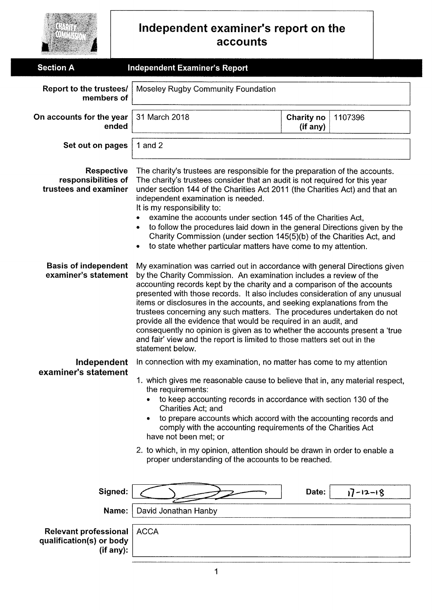|                                                                       | Independent examiner's report on the<br>accounts                                                                                                                                                                                                                                                                                                                                                                                                                                                                                                                                                                                                                                                                                                                                                                                                                                                                                                                                                                                                                                                                                                                                                                                                                                             |                        |                |  |
|-----------------------------------------------------------------------|----------------------------------------------------------------------------------------------------------------------------------------------------------------------------------------------------------------------------------------------------------------------------------------------------------------------------------------------------------------------------------------------------------------------------------------------------------------------------------------------------------------------------------------------------------------------------------------------------------------------------------------------------------------------------------------------------------------------------------------------------------------------------------------------------------------------------------------------------------------------------------------------------------------------------------------------------------------------------------------------------------------------------------------------------------------------------------------------------------------------------------------------------------------------------------------------------------------------------------------------------------------------------------------------|------------------------|----------------|--|
| <b>Section A</b>                                                      | <b>Independent Examiner's Report</b>                                                                                                                                                                                                                                                                                                                                                                                                                                                                                                                                                                                                                                                                                                                                                                                                                                                                                                                                                                                                                                                                                                                                                                                                                                                         |                        |                |  |
| Report to the trustees/<br>members of                                 | Moseley Rugby Community Foundation                                                                                                                                                                                                                                                                                                                                                                                                                                                                                                                                                                                                                                                                                                                                                                                                                                                                                                                                                                                                                                                                                                                                                                                                                                                           |                        |                |  |
| On accounts for the year<br>ended                                     | 31 March 2018                                                                                                                                                                                                                                                                                                                                                                                                                                                                                                                                                                                                                                                                                                                                                                                                                                                                                                                                                                                                                                                                                                                                                                                                                                                                                | Charity no<br>(if any) | 1107396        |  |
| Set out on pages                                                      | 1 and $2$                                                                                                                                                                                                                                                                                                                                                                                                                                                                                                                                                                                                                                                                                                                                                                                                                                                                                                                                                                                                                                                                                                                                                                                                                                                                                    |                        |                |  |
|                                                                       | <b>Respective</b><br>The charity's trustees are responsible for the preparation of the accounts.<br>responsibilities of<br>The charity's trustees consider that an audit is not required for this year<br>trustees and examiner<br>under section 144 of the Charities Act 2011 (the Charities Act) and that an<br>independent examination is needed.<br>It is my responsibility to:<br>examine the accounts under section 145 of the Charities Act,<br>to follow the procedures laid down in the general Directions given by the<br>Charity Commission (under section 145(5)(b) of the Charities Act, and<br>to state whether particular matters have come to my attention.                                                                                                                                                                                                                                                                                                                                                                                                                                                                                                                                                                                                                  |                        |                |  |
| <b>Basis of independent</b><br>examiner's statement                   | My examination was carried out in accordance with general Directions given<br>by the Charity Commission. An examination includes a review of the<br>accounting records kept by the charity and a comparison of the accounts<br>presented with those records. It also includes consideration of any unusual<br>items or disclosures in the accounts, and seeking explanations from the<br>trustees concerning any such matters. The procedures undertaken do not<br>provide all the evidence that would be required in an audit, and<br>consequently no opinion is given as to whether the accounts present a 'true<br>and fair' view and the report is limited to those matters set out in the<br>statement below.<br>In connection with my examination, no matter has come to my attention<br>1. which gives me reasonable cause to believe that in, any material respect,<br>the requirements:<br>to keep accounting records in accordance with section 130 of the<br>Charities Act; and<br>to prepare accounts which accord with the accounting records and<br>comply with the accounting requirements of the Charities Act<br>have not been met; or<br>2. to which, in my opinion, attention should be drawn in order to enable a<br>proper understanding of the accounts to be reached. |                        |                |  |
| Independent<br>examiner's statement                                   |                                                                                                                                                                                                                                                                                                                                                                                                                                                                                                                                                                                                                                                                                                                                                                                                                                                                                                                                                                                                                                                                                                                                                                                                                                                                                              |                        |                |  |
| Signed:                                                               |                                                                                                                                                                                                                                                                                                                                                                                                                                                                                                                                                                                                                                                                                                                                                                                                                                                                                                                                                                                                                                                                                                                                                                                                                                                                                              | Date:                  | $17 - 12 - 18$ |  |
|                                                                       | David Jonathan Hanby<br>Name:                                                                                                                                                                                                                                                                                                                                                                                                                                                                                                                                                                                                                                                                                                                                                                                                                                                                                                                                                                                                                                                                                                                                                                                                                                                                |                        |                |  |
| <b>Relevant professional</b><br>qualification(s) or body<br>(if any): | <b>ACCA</b>                                                                                                                                                                                                                                                                                                                                                                                                                                                                                                                                                                                                                                                                                                                                                                                                                                                                                                                                                                                                                                                                                                                                                                                                                                                                                  |                        |                |  |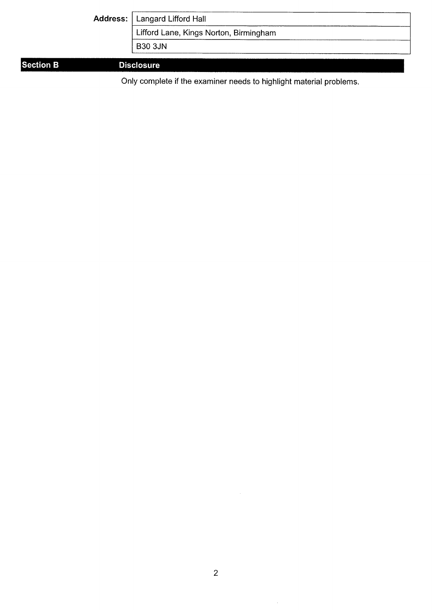| Address:   Langard Lifford Hall        |
|----------------------------------------|
| Lifford Lane, Kings Norton, Birmingham |
| <b>B30 3JN</b>                         |
| <b>Disclosure</b>                      |

## **Section B**

Only complete if the examiner needs to highlight material problems.

 $\ddot{\phantom{0}}$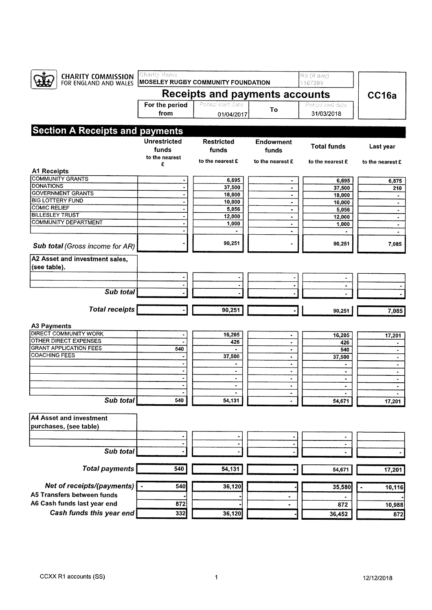| <b>CHARITY COMMISSION</b><br>FOR ENGLAND AND WALES | Charity Name                          | <b>MOSELEY RUGBY COMMUNITY FOUNDATION</b> |                              | No (if any)<br>1107398 |                  |
|----------------------------------------------------|---------------------------------------|-------------------------------------------|------------------------------|------------------------|------------------|
|                                                    | <b>Receipts and payments accounts</b> |                                           |                              | CC16a                  |                  |
|                                                    | For the period                        | Period start date                         | To                           | Period and data        |                  |
|                                                    | from                                  | 01/04/2017                                |                              | 31/03/2018             |                  |
|                                                    |                                       |                                           |                              |                        |                  |
| <b>Section A Receipts and payments</b>             |                                       |                                           |                              |                        |                  |
|                                                    | <b>Unrestricted</b>                   | <b>Restricted</b>                         | <b>Endowment</b>             | <b>Total funds</b>     | Last year        |
|                                                    | funds                                 | funds                                     | funds                        |                        |                  |
|                                                    | to the nearest<br>£                   | to the nearest £                          | to the nearest £             | to the nearest £       | to the nearest £ |
| <b>A1 Receipts</b>                                 |                                       |                                           |                              |                        |                  |
| <b>COMMUNITY GRANTS</b>                            |                                       | 6,695                                     |                              | 6,695                  | 6,875            |
| <b>DONATIONS</b>                                   | $\ddot{\phantom{a}}$                  | 37,500                                    | ۰                            | 37,500                 | 210              |
| <b>GOVERNMENT GRANTS</b>                           |                                       | 18,000                                    | ٠                            | 18,000                 | ٠                |
| <b>BIG LOTTERY FUND</b>                            |                                       | 10,000                                    | $\blacksquare$               | 10,000                 | ٠                |
| <b>COMIC RELIEF</b>                                |                                       | 5,056                                     | $\bullet$                    | 5,056                  | $\bullet$        |
| <b>BILLESLEY TRUST</b>                             |                                       | 12,000                                    | ٠                            | 12,000                 | $\bullet$        |
| <b>COMMUNITY DEPARTMENT</b>                        |                                       | 1,000                                     | ٠                            | 1,000                  | ٠                |
|                                                    |                                       |                                           | ۰                            |                        |                  |
| Sub total (Gross income for AR)                    |                                       | 90,251                                    |                              | 90,251                 | 7,085            |
| A2 Asset and investment sales,<br>(see table).     |                                       |                                           |                              |                        |                  |
|                                                    |                                       |                                           |                              |                        |                  |
|                                                    |                                       |                                           |                              |                        |                  |
| Sub total                                          |                                       |                                           |                              |                        |                  |
| <b>Total receipts</b>                              |                                       | 90,251                                    |                              | 90,251                 | 7,085            |
| <b>A3 Payments</b>                                 |                                       |                                           |                              |                        |                  |
| DIRECT COMMUNITY WORK                              |                                       | 16,205                                    | $\qquad \qquad \blacksquare$ | 16,205                 | 17,201           |
| OTHER DIRECT EXPENSES                              |                                       | 426                                       | ٠                            | 426                    | $\blacksquare$   |
| <b>GRANT APPLICATION FEES</b>                      | 540                                   |                                           | $\blacksquare$               | 540                    | ۰                |
| <b>COACHING FEES</b>                               |                                       | 37,500                                    | $\blacksquare$               | 37,500                 | $\bullet$        |
|                                                    |                                       | ٠                                         | ۰                            | $\bullet$              | $\bullet$        |
|                                                    |                                       | $\blacksquare$                            | $\sim$                       | ۰                      | $\bullet$        |
|                                                    | $\bullet$                             | $\blacksquare$                            | ٠                            | $\blacksquare$         | ۰                |
|                                                    |                                       | ۰                                         | $\blacksquare$               |                        |                  |
|                                                    |                                       | ٠                                         |                              |                        |                  |
| Sub total                                          | 540                                   | 54,131                                    |                              | 54,671                 | 17,201           |
| A4 Asset and investment                            |                                       |                                           |                              |                        |                  |
| purchases, (see table)                             |                                       |                                           |                              |                        |                  |
|                                                    |                                       |                                           |                              |                        |                  |
|                                                    | ٠                                     |                                           |                              | $\bullet$              |                  |
| Sub total                                          |                                       |                                           |                              |                        |                  |
| <b>Total payments</b>                              | 540                                   | 54,131                                    |                              | 54,671                 | 17,201           |
| Net of receipts/(payments)                         | 540                                   | 36,120                                    |                              | 35,580                 | 10,116           |
| A5 Transfers between funds                         |                                       |                                           |                              |                        |                  |
| A6 Cash funds last year end                        | 872                                   |                                           |                              | 872                    | 10,988           |
| Cash funds this year end                           | 332                                   | 36,120                                    |                              |                        |                  |
|                                                    |                                       |                                           |                              | 36,452                 | 872              |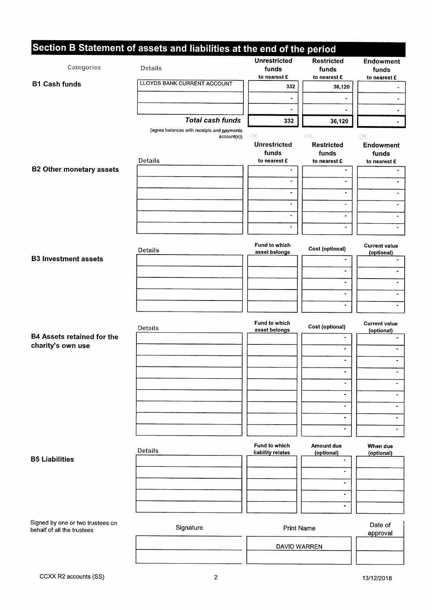|                                                                | Section B Statement of assets and liabilities at the end of the period |                                              |                                            |                                    |
|----------------------------------------------------------------|------------------------------------------------------------------------|----------------------------------------------|--------------------------------------------|------------------------------------|
| Categories                                                     | Details                                                                | <b>Unrestricted</b><br>funds<br>to nearest £ | <b>Restricted</b><br>funds<br>to nearest £ | Endowment<br>funds<br>to nearest £ |
| <b>B1 Cash funds</b>                                           | <b>LLOYDS BANK CURRENT ACCOUNT</b>                                     | 332                                          | 36,120                                     | $\ddot{\phantom{0}}$               |
|                                                                |                                                                        | $\blacksquare$                               |                                            | $\blacksquare$                     |
|                                                                |                                                                        | $\blacksquare$                               |                                            | $\blacksquare$                     |
|                                                                | <b>Total cash funds</b>                                                | 332                                          | 36,120                                     | $\blacksquare$                     |
|                                                                | (agree balances with receipts and payments<br>account(s))              | ОK                                           | OК                                         | OK                                 |
|                                                                | Details                                                                | <b>Unrestricted</b><br>funds<br>to nearest £ | <b>Restricted</b><br>funds<br>to nearest £ | <b>Endowment</b><br>funds          |
| <b>B2 Other monetary assets</b>                                |                                                                        | $\bullet$                                    | $\blacksquare$                             | to nearest £<br>$\blacksquare$     |
|                                                                |                                                                        | $\bullet$                                    | ۰                                          |                                    |
|                                                                |                                                                        | $\blacksquare$                               |                                            | ٠                                  |
|                                                                |                                                                        | $\blacksquare$                               | ÷.                                         | $\bullet$                          |
|                                                                |                                                                        | $\bullet$                                    | $\blacksquare$                             | $\blacksquare$                     |
|                                                                |                                                                        | $\bullet$                                    | ۰                                          | ۰                                  |
|                                                                | <b>Details</b>                                                         | Fund to which<br>asset belongs               | Cost (optional)                            | <b>Current value</b><br>(optional) |
| <b>B3 Investment assets</b>                                    |                                                                        |                                              |                                            |                                    |
|                                                                |                                                                        |                                              | $\qquad \qquad \blacksquare$               | $\blacksquare$                     |
|                                                                |                                                                        |                                              | $\blacksquare$                             | $\blacksquare$                     |
|                                                                |                                                                        |                                              | $\blacksquare$                             | $\blacksquare$                     |
|                                                                |                                                                        |                                              |                                            | $\blacksquare$                     |
|                                                                | Details                                                                | Fund to which<br>asset belongs               | Cost (optional)                            | <b>Current value</b><br>(optional) |
| <b>B4 Assets retained for the</b><br>charity's own use         |                                                                        |                                              |                                            |                                    |
|                                                                |                                                                        |                                              | $\blacksquare$                             | ٠                                  |
|                                                                |                                                                        |                                              |                                            |                                    |
|                                                                |                                                                        |                                              | ٠                                          | ٠                                  |
|                                                                |                                                                        |                                              | $\blacksquare$                             |                                    |
|                                                                |                                                                        |                                              | $\bullet$                                  |                                    |
|                                                                |                                                                        |                                              | $\blacksquare$                             | ٠                                  |
|                                                                |                                                                        |                                              | ۰                                          | $\blacksquare$                     |
|                                                                | Details                                                                | Fund to which<br>liability relates           | Amount due<br>(optional)                   | When due<br>(optional)             |
| <b>B5 Liabilities</b>                                          |                                                                        |                                              | $\hat{\phantom{a}}$                        |                                    |
|                                                                |                                                                        |                                              | ٠                                          |                                    |
|                                                                |                                                                        |                                              | ۰                                          |                                    |
|                                                                |                                                                        |                                              | ۰                                          |                                    |
|                                                                |                                                                        |                                              | ٠                                          |                                    |
| Signed by one or two trustees on<br>behalf of all the trustees | Signature                                                              | <b>Print Name</b>                            |                                            | Date of<br>approval                |
|                                                                |                                                                        | DAVID WARREN                                 |                                            |                                    |
|                                                                |                                                                        |                                              |                                            |                                    |
|                                                                |                                                                        |                                              |                                            |                                    |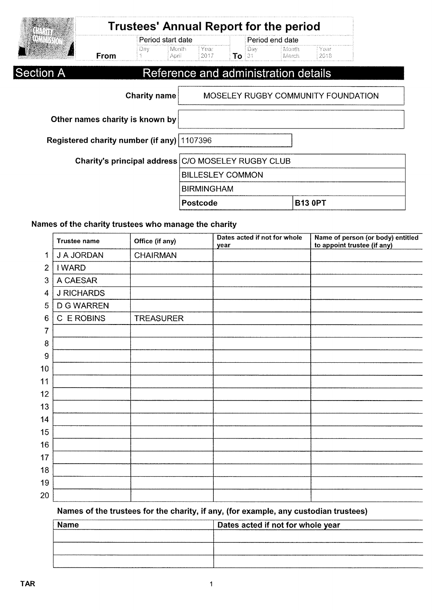|                                                    |                     | Period start date |                         |     | Period end date |                                      |                                    |  |
|----------------------------------------------------|---------------------|-------------------|-------------------------|-----|-----------------|--------------------------------------|------------------------------------|--|
| From                                               | Day.                | Month<br>April    | Year<br>2017            | To: | Day<br>131      | Month<br>March                       | Year<br>2018                       |  |
| <b>Section A</b>                                   |                     |                   |                         |     |                 | Reference and administration details |                                    |  |
|                                                    | <b>Charity name</b> |                   |                         |     |                 |                                      | MOSELEY RUGBY COMMUNITY FOUNDATION |  |
| Other names charity is known by                    |                     |                   |                         |     |                 |                                      |                                    |  |
| Registered charity number (if any)   1107396       |                     |                   |                         |     |                 |                                      |                                    |  |
| Charity's principal address C/O MOSELEY RUGBY CLUB |                     |                   |                         |     |                 |                                      |                                    |  |
|                                                    |                     |                   | <b>BILLESLEY COMMON</b> |     |                 |                                      |                                    |  |
|                                                    |                     |                   | <b>BIRMINGHAM</b>       |     |                 |                                      |                                    |  |
|                                                    |                     |                   | Postcode                |     |                 |                                      | <b>B13 0PT</b>                     |  |

### Names of the charity trustees who manage the charity

|                | <b>Trustee name</b> | Office (if any)  | Dates acted if not for whole<br>year | Name of person (or body) entitled<br>to appoint trustee (if any) |
|----------------|---------------------|------------------|--------------------------------------|------------------------------------------------------------------|
| 1              | J A JORDAN          | <b>CHAIRMAN</b>  |                                      |                                                                  |
| $\overline{2}$ | <b>I WARD</b>       |                  |                                      |                                                                  |
| 3              | A CAESAR            |                  |                                      |                                                                  |
| 4              | <b>J RICHARDS</b>   |                  |                                      |                                                                  |
| 5              | <b>D G WARREN</b>   |                  |                                      |                                                                  |
| 6              | C E ROBINS          | <b>TREASURER</b> |                                      |                                                                  |
| 7              |                     |                  |                                      |                                                                  |
| 8              |                     |                  |                                      |                                                                  |
| 9              |                     |                  |                                      |                                                                  |
| 10             |                     |                  |                                      |                                                                  |
| 11             |                     |                  |                                      |                                                                  |
| 12             |                     |                  |                                      |                                                                  |
| 13             |                     |                  |                                      |                                                                  |
| 14             |                     |                  |                                      |                                                                  |
| 15             |                     |                  |                                      |                                                                  |
| 16             |                     |                  |                                      |                                                                  |
| 17             |                     |                  |                                      |                                                                  |
| 18             |                     |                  |                                      |                                                                  |
| 19             |                     |                  |                                      |                                                                  |
| 20             |                     |                  |                                      |                                                                  |

#### Names of the trustees for the charity, if any, (for example, any custodian trustees)

| <b>Name</b> | Dates acted if not for whole year |
|-------------|-----------------------------------|
|             |                                   |
|             |                                   |
|             |                                   |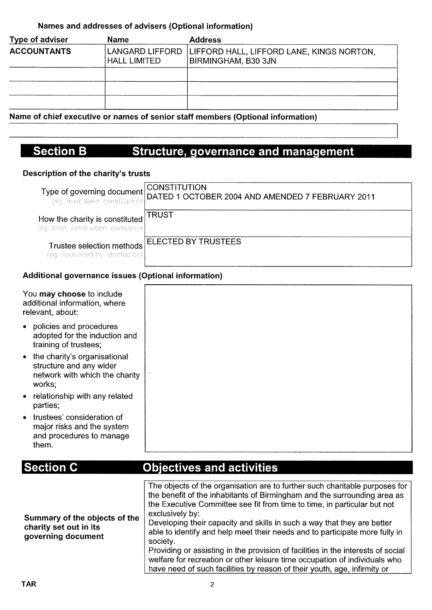### Names and addresses of advisers (Optional information)

| <b>Name</b>                            | <b>Address</b>                                                   |
|----------------------------------------|------------------------------------------------------------------|
| LANGARD LIFFORD<br><b>HALL LIMITED</b> | LIFFORD HALL, LIFFORD LANE, KINGS NORTON,<br>BIRMINGHAM, B30 3JN |
|                                        |                                                                  |
|                                        |                                                                  |
|                                        |                                                                  |
|                                        |                                                                  |

Name of chief executive or names of senior staff members (Optional information)

#### **Section B** Structure, governance and management

#### Description of the charity's trusts

|                                                                          | <b>CONSTITUTION</b><br>Type of governing document CONSTITUTION<br>(eg. trust deed, constitution) DATED 1 OCTOBER 2004 AND AMENDED 7 FEBRUARY 2011 |
|--------------------------------------------------------------------------|---------------------------------------------------------------------------------------------------------------------------------------------------|
| How the charity is constituted TRUST<br>(eg trust, association, company) |                                                                                                                                                   |
| Trustee selection methods<br>(eg. appointed by, elected by)              | <b>ELECTED BY TRUSTEES</b>                                                                                                                        |

#### Additional governance issues (Optional information)

| You may choose to include<br>additional information, where<br>relevant, about:                        |
|-------------------------------------------------------------------------------------------------------|
| • policies and procedures<br>adopted for the induction and<br>training of trustees;                   |
| • the charity's organisational<br>structure and any wider<br>network with which the charity<br>works; |
| • relationship with any related<br>parties;                                                           |
| • trustees' consideration of<br>major risks and the system<br>and procedures to manage<br>them.       |

## **Section C**

## **Objectives and activities**

| Summary of the objects of the<br>charity set out in its<br>governing document | The objects of the organisation are to further such charitable purposes for<br>the benefit of the inhabitants of Birmingham and the surrounding area as<br>the Executive Committee see fit from time to time, in particular but not<br>exclusively by:<br>Developing their capacity and skills in such a way that they are better<br>able to identify and help meet their needs and to participate more fully in<br>society.<br>Providing or assisting in the provision of facilities in the interests of social<br>welfare for recreation or other leisure time occupation of individuals who<br>have need of such facilities by reason of their youth, age, infirmity or |
|-------------------------------------------------------------------------------|----------------------------------------------------------------------------------------------------------------------------------------------------------------------------------------------------------------------------------------------------------------------------------------------------------------------------------------------------------------------------------------------------------------------------------------------------------------------------------------------------------------------------------------------------------------------------------------------------------------------------------------------------------------------------|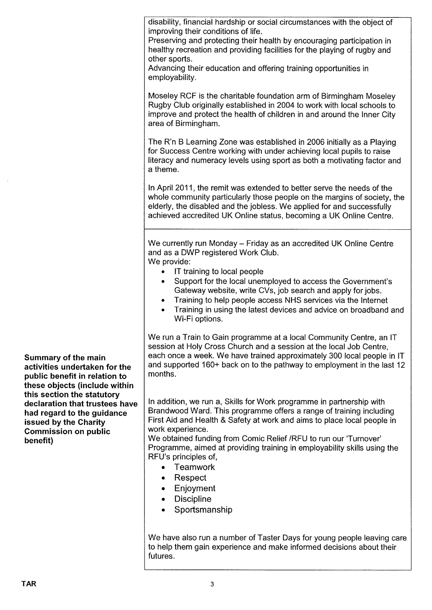disability, financial hardship or social circumstances with the object of improving their conditions of life.

Preserving and protecting their health by encouraging participation in healthy recreation and providing facilities for the playing of rugby and other sports.

Advancing their education and offering training opportunities in employability.

Moseley RCF is the charitable foundation arm of Birmingham Moseley Rugby Club originally established in 2004 to work with local schools to improve and protect the health of children in and around the Inner City area of Birmingham.

The R'n B Learning Zone was established in 2006 initially as a Playing for Success Centre working with under achieving local pupils to raise literacy and numeracy levels using sport as both a motivating factor and a theme.

In April 2011, the remit was extended to better serve the needs of the whole community particularly those people on the margins of society, the elderly, the disabled and the jobless. We applied for and successfully achieved accredited UK Online status, becoming a UK Online Centre.

We currently run Monday - Friday as an accredited UK Online Centre and as a DWP registered Work Club.

We provide:

- <sup>~</sup> IT training to local people
- <sup>~</sup> Support for the local unemployed to access the Government's Gateway website, write CVs, job search and apply for jobs.
- Training to help people access NHS services via the Internet
- Training in using the latest devices and advice on broadband and Wi-Fi options.

We run a Train to Gain programme at a local Community Centre, an IT session at Holy Cross Church and a session at the local Job Centre, each once a week. We have trained approximately 300 local people in IT and supported 160+ back on to the pathway to employment in the last 12 months.

In addition, we run a, Skills for Work programme in partnership with Brandwood Ward. This programme offers a range of training including First Aid and Health & Safety at work and aims to place local people in work experience.

We obtained funding from Comic Relief /RFU to run our 'Turnover' Programme, aimed at providing training in employability skills using the RFU's principles of,

- ~ Teamwork
- <sup>~</sup> Respect
- ~ Enjoyment
- Discipline
- ~ Sportsmanship

We have also run a number of Taster Days for young people leaving care to help them gain experience and make informed decisions about their futures.

Summary of the main activities undertaken for the public benefit in relation to these objects (include within this section the statutory declaration that trustees have had regard to the guidance issued by the Charity Commission on public benefit)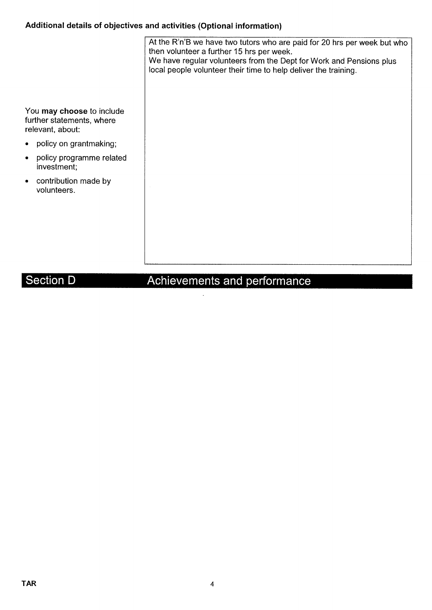## Additional details of objectives and activities (Optional information)

|                                                                            | At the R'n'B we have two tutors who are paid for 20 hrs per week but who<br>then volunteer a further 15 hrs per week.<br>We have regular volunteers from the Dept for Work and Pensions plus<br>local people volunteer their time to help deliver the training. |
|----------------------------------------------------------------------------|-----------------------------------------------------------------------------------------------------------------------------------------------------------------------------------------------------------------------------------------------------------------|
| You may choose to include<br>further statements, where<br>relevant, about: |                                                                                                                                                                                                                                                                 |
| policy on grantmaking;                                                     |                                                                                                                                                                                                                                                                 |
| policy programme related<br>investment;                                    |                                                                                                                                                                                                                                                                 |
| contribution made by<br>volunteers.                                        |                                                                                                                                                                                                                                                                 |

### Section D

### ements and pertc

 $\ddot{\phantom{1}}$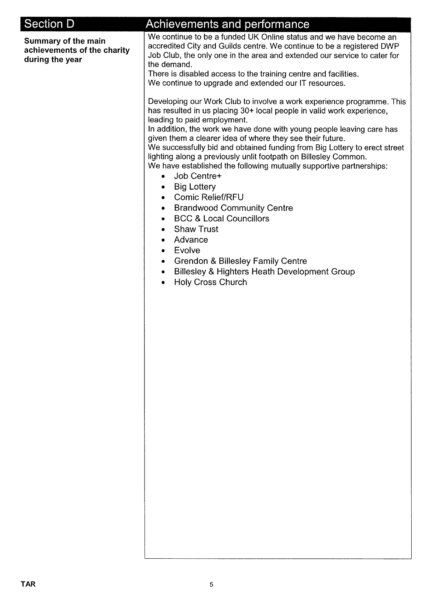| <b>Section D</b>                                                      | Achievements and performance                                                                                                                                                                                                                                                                                                                                                                                                                                                                                                                                                                                                                                                                                                                                                                                                                                                                                 |
|-----------------------------------------------------------------------|--------------------------------------------------------------------------------------------------------------------------------------------------------------------------------------------------------------------------------------------------------------------------------------------------------------------------------------------------------------------------------------------------------------------------------------------------------------------------------------------------------------------------------------------------------------------------------------------------------------------------------------------------------------------------------------------------------------------------------------------------------------------------------------------------------------------------------------------------------------------------------------------------------------|
| Summary of the main<br>achievements of the charity<br>during the year | We continue to be a funded UK Online status and we have become an<br>accredited City and Guilds centre. We continue to be a registered DWP<br>Job Club, the only one in the area and extended our service to cater for<br>the demand.<br>There is disabled access to the training centre and facilities.<br>We continue to upgrade and extended our IT resources.                                                                                                                                                                                                                                                                                                                                                                                                                                                                                                                                            |
|                                                                       | Developing our Work Club to involve a work experience programme. This<br>has resulted in us placing 30+ local people in valid work experience,<br>leading to paid employment.<br>In addition, the work we have done with young people leaving care has<br>given them a clearer idea of where they see their future.<br>We successfully bid and obtained funding from Big Lottery to erect street<br>lighting along a previously unlit footpath on Billesley Common.<br>We have established the following mutually supportive partnerships:<br>Job Centre+<br>$\bullet$<br><b>Big Lottery</b><br>٠<br>• Comic Relief/RFU<br>• Brandwood Community Centre<br><b>BCC &amp; Local Councillors</b><br>٠<br><b>Shaw Trust</b><br>۰<br>Advance<br>۰<br>Evolve<br>۰<br><b>Grendon &amp; Billesley Family Centre</b><br>۰<br><b>Billesley &amp; Highters Heath Development Group</b><br>٠<br><b>Holy Cross Church</b> |
|                                                                       |                                                                                                                                                                                                                                                                                                                                                                                                                                                                                                                                                                                                                                                                                                                                                                                                                                                                                                              |
|                                                                       |                                                                                                                                                                                                                                                                                                                                                                                                                                                                                                                                                                                                                                                                                                                                                                                                                                                                                                              |